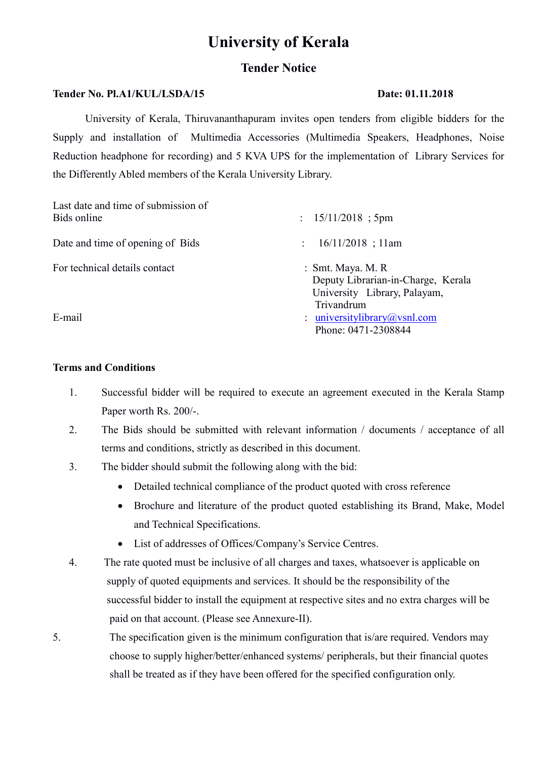# University of Kerala

### Tender Notice

#### Tender No. Pl.A1/KUL/LSDA/15 Date: 01.11.2018

University of Kerala, Thiruvananthapuram invites open tenders from eligible bidders for the Supply and installation of Multimedia Accessories (Multimedia Speakers, Headphones, Noise Reduction headphone for recording) and 5 KVA UPS for the implementation of Library Services for the Differently Abled members of the Kerala University Library.

| Last date and time of submission of<br>Bids online | $: 15/11/2018$ ; 5pm                                                                                    |
|----------------------------------------------------|---------------------------------------------------------------------------------------------------------|
| Date and time of opening of Bids                   | $16/11/2018$ ; 11am<br>$\mathcal{L}$                                                                    |
| For technical details contact                      | $: Smt.$ Maya. M. R<br>Deputy Librarian-in-Charge, Kerala<br>University Library, Palayam,<br>Trivandrum |
| E-mail                                             | : universitylibrary@vsnl.com<br>Phone: 0471-2308844                                                     |

#### Terms and Conditions

- 1. Successful bidder will be required to execute an agreement executed in the Kerala Stamp Paper worth Rs. 200/-.
- 2. The Bids should be submitted with relevant information / documents / acceptance of all terms and conditions, strictly as described in this document.
- 3. The bidder should submit the following along with the bid:
	- Detailed technical compliance of the product quoted with cross reference
	- Brochure and literature of the product quoted establishing its Brand, Make, Model and Technical Specifications.
	- List of addresses of Offices/Company's Service Centres.
- 4. The rate quoted must be inclusive of all charges and taxes, whatsoever is applicable on supply of quoted equipments and services. It should be the responsibility of the successful bidder to install the equipment at respective sites and no extra charges will be paid on that account. (Please see Annexure-II).
- 5. The specification given is the minimum configuration that is/are required. Vendors may choose to supply higher/better/enhanced systems/ peripherals, but their financial quotes shall be treated as if they have been offered for the specified configuration only.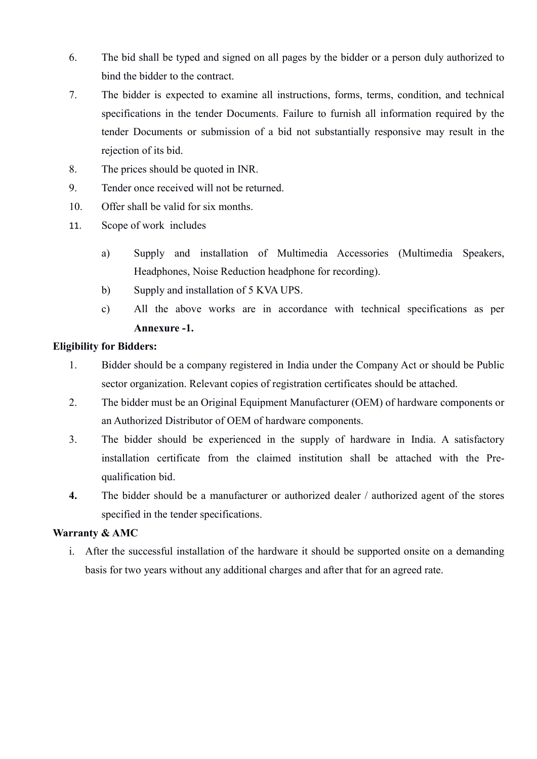- 6. The bid shall be typed and signed on all pages by the bidder or a person duly authorized to bind the bidder to the contract.
- 7. The bidder is expected to examine all instructions, forms, terms, condition, and technical specifications in the tender Documents. Failure to furnish all information required by the tender Documents or submission of a bid not substantially responsive may result in the rejection of its bid.
- 8. The prices should be quoted in INR.
- 9. Tender once received will not be returned.
- 10. Offer shall be valid for six months.
- 11. Scope of work includes
	- a) Supply and installation of Multimedia Accessories (Multimedia Speakers, Headphones, Noise Reduction headphone for recording).
	- b) Supply and installation of 5 KVA UPS.
	- c) All the above works are in accordance with technical specifications as per Annexure -1.

#### Eligibility for Bidders:

- 1. Bidder should be a company registered in India under the Company Act or should be Public sector organization. Relevant copies of registration certificates should be attached.
- 2. The bidder must be an Original Equipment Manufacturer (OEM) of hardware components or an Authorized Distributor of OEM of hardware components.
- 3. The bidder should be experienced in the supply of hardware in India. A satisfactory installation certificate from the claimed institution shall be attached with the Prequalification bid.
- 4. The bidder should be a manufacturer or authorized dealer / authorized agent of the stores specified in the tender specifications.

#### Warranty & AMC

i. After the successful installation of the hardware it should be supported onsite on a demanding basis for two years without any additional charges and after that for an agreed rate.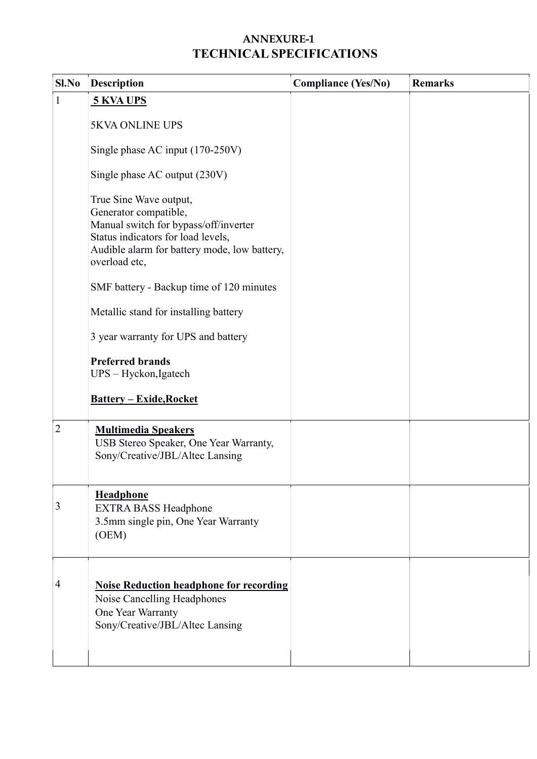## ANNEXURE-1 TECHNICAL SPECIFICATIONS

| Sl.No          | <b>Description</b>                                                                                                                                                                              | <b>Compliance (Yes/No)</b> | <b>Remarks</b> |
|----------------|-------------------------------------------------------------------------------------------------------------------------------------------------------------------------------------------------|----------------------------|----------------|
| $\mathbf{1}$   | <b>5 KVA UPS</b>                                                                                                                                                                                |                            |                |
|                | <b>5KVA ONLINE UPS</b>                                                                                                                                                                          |                            |                |
|                | Single phase AC input (170-250V)                                                                                                                                                                |                            |                |
|                | Single phase AC output (230V)                                                                                                                                                                   |                            |                |
|                | True Sine Wave output,<br>Generator compatible,<br>Manual switch for bypass/off/inverter<br>Status indicators for load levels,<br>Audible alarm for battery mode, low battery,<br>overload etc, |                            |                |
|                | SMF battery - Backup time of 120 minutes                                                                                                                                                        |                            |                |
|                | Metallic stand for installing battery                                                                                                                                                           |                            |                |
|                | 3 year warranty for UPS and battery                                                                                                                                                             |                            |                |
|                | <b>Preferred brands</b><br>UPS - Hyckon, Igatech                                                                                                                                                |                            |                |
|                | <b>Battery - Exide, Rocket</b>                                                                                                                                                                  |                            |                |
| $\overline{2}$ | <b>Multimedia Speakers</b><br>USB Stereo Speaker, One Year Warranty,<br>Sony/Creative/JBL/Altec Lansing                                                                                         |                            |                |
| 3              | <b>Headphone</b><br><b>EXTRA BASS Headphone</b><br>3.5mm single pin, One Year Warranty<br>(OEM)                                                                                                 |                            |                |
| 4              | <b>Noise Reduction headphone for recording</b><br>Noise Cancelling Headphones<br>One Year Warranty<br>Sony/Creative/JBL/Altec Lansing                                                           |                            |                |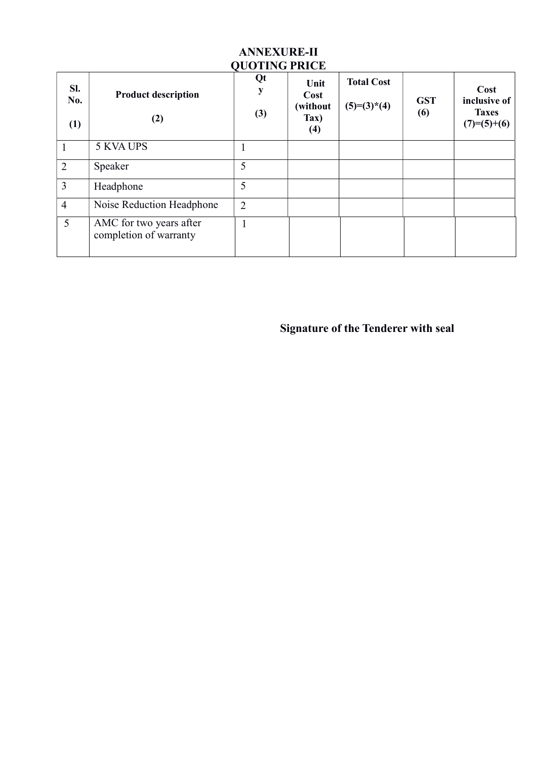| SI.<br>No.<br>(1) | <b>Product description</b><br>(2)                 | VUUTING PRICE<br>Qt<br>(3) | Unit<br>Cost<br>(without<br>Tax)<br>(4) | <b>Total Cost</b><br>$(5)=(3)*(4)$ | <b>GST</b><br>(6) | Cost<br>inclusive of<br><b>Taxes</b><br>$(7)=(5)+(6)$ |
|-------------------|---------------------------------------------------|----------------------------|-----------------------------------------|------------------------------------|-------------------|-------------------------------------------------------|
|                   | 5 KVA UPS                                         |                            |                                         |                                    |                   |                                                       |
| $\overline{2}$    | Speaker                                           | 5                          |                                         |                                    |                   |                                                       |
| $\overline{3}$    | Headphone                                         | 5                          |                                         |                                    |                   |                                                       |
| $\overline{4}$    | Noise Reduction Headphone                         | $\overline{2}$             |                                         |                                    |                   |                                                       |
| 5                 | AMC for two years after<br>completion of warranty | 1                          |                                         |                                    |                   |                                                       |

#### ANNEXURE-II QUOTING PRICE

Signature of the Tenderer with seal